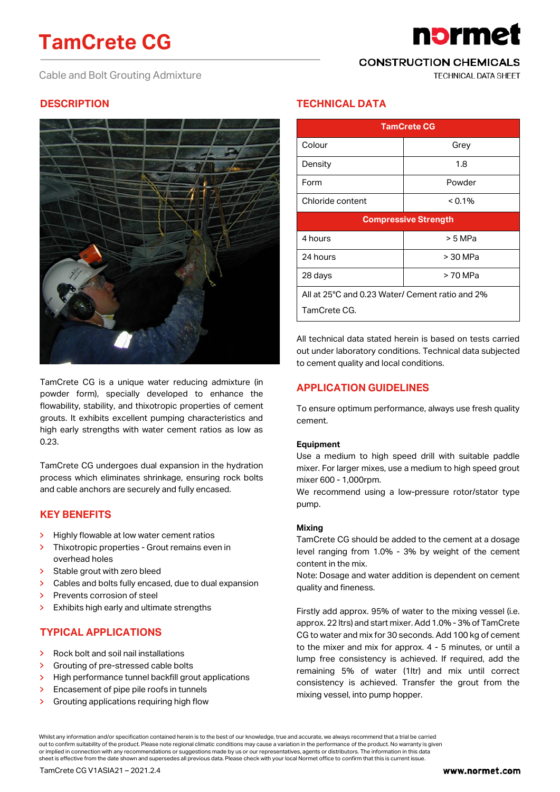# **TamCrete CG**

Cable and Bolt Grouting Admixture

**CONSTRUCTION CHEMICALS** 

**TECHNICAL DATA SHEET** 

n<mark>b</mark>rme

# **DESCRIPTION**



TamCrete CG is a unique water reducing admixture (in powder form), specially developed to enhance the flowability, stability, and thixotropic properties of cement grouts. It exhibits excellent pumping characteristics and high early strengths with water cement ratios as low as 0.23.

TamCrete CG undergoes dual expansion in the hydration process which eliminates shrinkage, ensuring rock bolts and cable anchors are securely and fully encased.

## **KEY BENEFITS**

- Highly flowable at low water cement ratios  $\rightarrow$
- Thixotropic properties Grout remains even in  $\mathbf{\Sigma}$ overhead holes
- Stable grout with zero bleed  $\overline{\phantom{a}}$
- $\rightarrow$ Cables and bolts fully encased, due to dual expansion
- Prevents corrosion of steel
- $\mathbf{\bar{z}}$ Exhibits high early and ultimate strengths

# **TYPICAL APPLICATIONS**

- $\overline{\mathbf{y}}$ Rock bolt and soil nail installations
- Grouting of pre-stressed cable bolts  $\overline{\phantom{a}}$
- High performance tunnel backfill grout applications  $\overline{\mathbf{y}}$
- $\overline{\mathbf{y}}$ Encasement of pipe pile roofs in tunnels
- Grouting applications requiring high flow  $\rightarrow$

# **TECHNICAL DATA**

| <b>TamCrete CG</b>                              |          |
|-------------------------------------------------|----------|
| Colour                                          | Grey     |
| Density                                         | 1.8      |
| Form                                            | Powder   |
| Chloride content                                | < 0.1%   |
| <b>Compressive Strength</b>                     |          |
| 4 hours                                         | > 5 MPa  |
| 24 hours                                        | > 30 MPa |
| 28 days                                         | > 70 MPa |
| All at 25°C and 0.23 Water/ Cement ratio and 2% |          |
| TamCrete CG.                                    |          |

All technical data stated herein is based on tests carried out under laboratory conditions. Technical data subjected to cement quality and local conditions.

# **APPLICATION GUIDELINES**

To ensure optimum performance, always use fresh quality cement.

#### **Equipment**

Use a medium to high speed drill with suitable paddle mixer. For larger mixes, use a medium to high speed grout mixer 600 - 1,000rpm.

We recommend using a low-pressure rotor/stator type pump.

#### **Mixing**

TamCrete CG should be added to the cement at a dosage level ranging from 1.0% - 3% by weight of the cement content in the mix.

Note: Dosage and water addition is dependent on cement quality and fineness.

Firstly add approx. 95% of water to the mixing vessel (i.e. approx. 22 ltrs) and start mixer. Add 1.0% - 3% of TamCrete CG to water and mix for 30 seconds. Add 100 kg of cement to the mixer and mix for approx. 4 - 5 minutes, or until a lump free consistency is achieved. If required, add the remaining 5% of water (1ltr) and mix until correct consistency is achieved. Transfer the grout from the mixing vessel, into pump hopper.

Whilst any information and/or specification contained herein is to the best of our knowledge, true and accurate, we always recommend that a trial be carried out to confirm suitability of the product. Please note regional climatic conditions may cause a variation in the performance of the product. No warranty is given or implied in connection with any recommendations or suggestions made by us or our representatives, agents or distributors. The information in this data sheet is effective from the date shown and supersedes all previous data. Please check with your local Normet office to confirm that this is current issue.